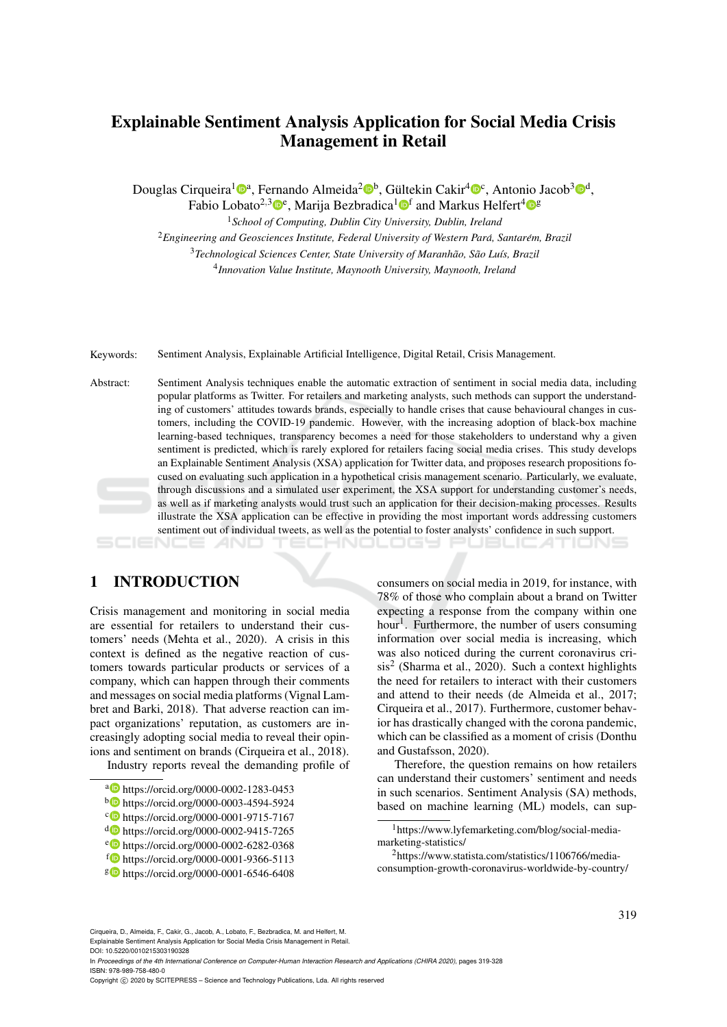# Explainable Sentiment Analysis Application for Social Media Crisis Management in Retail

Douglas Cirqueira<sup>1</sup>i®<sup>a</sup>, Fernando Almeida<sup>2</sup>i®<sup>b</sup>, Gültekin Cakir<sup>4</sup>i®<sup>c</sup>, Antonio Jacob<sup>3</sup>i®<sup>d</sup>,

Fabio Lobato<sup>2,3</sup><sup>0</sup>°, Marija Bezbradica<sup>1</sup><sup>0</sup>f and Markus Helfert<sup>4</sup><sup>08</sup>

<sup>1</sup>*School of Computing, Dublin City University, Dublin, Ireland*

<sup>2</sup> Engineering and Geosciences Institute, Federal University of Western Pará, Santarém, Brazil

<sup>3</sup>*Technological Sciences Center, State University of Maranhao, S ˜ ao Lu ˜ ´ıs, Brazil* 4 *Innovation Value Institute, Maynooth University, Maynooth, Ireland*

Keywords: Sentiment Analysis, Explainable Artificial Intelligence, Digital Retail, Crisis Management.

Abstract: Sentiment Analysis techniques enable the automatic extraction of sentiment in social media data, including popular platforms as Twitter. For retailers and marketing analysts, such methods can support the understanding of customers' attitudes towards brands, especially to handle crises that cause behavioural changes in customers, including the COVID-19 pandemic. However, with the increasing adoption of black-box machine learning-based techniques, transparency becomes a need for those stakeholders to understand why a given sentiment is predicted, which is rarely explored for retailers facing social media crises. This study develops an Explainable Sentiment Analysis (XSA) application for Twitter data, and proposes research propositions focused on evaluating such application in a hypothetical crisis management scenario. Particularly, we evaluate, through discussions and a simulated user experiment, the XSA support for understanding customer's needs, as well as if marketing analysts would trust such an application for their decision-making processes. Results illustrate the XSA application can be effective in providing the most important words addressing customers sentiment out of individual tweets, as well as the potential to foster analysts' confidence in such support.

## 1 INTRODUCTION

Crisis management and monitoring in social media are essential for retailers to understand their customers' needs (Mehta et al., 2020). A crisis in this context is defined as the negative reaction of customers towards particular products or services of a company, which can happen through their comments and messages on social media platforms (Vignal Lambret and Barki, 2018). That adverse reaction can impact organizations' reputation, as customers are increasingly adopting social media to reveal their opinions and sentiment on brands (Cirqueira et al., 2018).

Industry reports reveal the demanding profile of

- a https://orcid.org/0000-0002-1283-0453
- <sup>b</sup> https://orcid.org/0000-0003-4594-5924
- c https://orcid.org/0000-0001-9715-7167
- <sup>d</sup> https://orcid.org/0000-0002-9415-7265
- <sup>e</sup> https://orcid.org/0000-0002-6282-0368
- <sup>f</sup> https://orcid.org/0000-0001-9366-5113
- <sup>g</sup> https://orcid.org/0000-0001-6546-6408

consumers on social media in 2019, for instance, with 78% of those who complain about a brand on Twitter expecting a response from the company within one hour<sup>1</sup>. Furthermore, the number of users consuming information over social media is increasing, which was also noticed during the current coronavirus cri $sis<sup>2</sup>$  (Sharma et al., 2020). Such a context highlights the need for retailers to interact with their customers and attend to their needs (de Almeida et al., 2017; Cirqueira et al., 2017). Furthermore, customer behavior has drastically changed with the corona pandemic, which can be classified as a moment of crisis (Donthu and Gustafsson, 2020).

IHNOLOGY PUBLICATIONS

Therefore, the question remains on how retailers can understand their customers' sentiment and needs in such scenarios. Sentiment Analysis (SA) methods, based on machine learning (ML) models, can sup-

Cirqueira, D., Almeida, F., Cakir, G., Jacob, A., Lobato, F., Bezbradica, M. and Helfert, M. Explainable Sentiment Analysis Application for Social Media Crisis Management in Retail. DOI: 10.5220/0010215303190328

In *Proceedings of the 4th International Conference on Computer-Human Interaction Research and Applications (CHIRA 2020)*, pages 319-328 ISBN: 978-989-758-480-0

Copyright © 2020 by SCITEPRESS - Science and Technology Publications, Lda. All rights reserved

<sup>&</sup>lt;sup>1</sup>https://www.lyfemarketing.com/blog/social-mediamarketing-statistics/

<sup>2</sup>https://www.statista.com/statistics/1106766/mediaconsumption-growth-coronavirus-worldwide-by-country/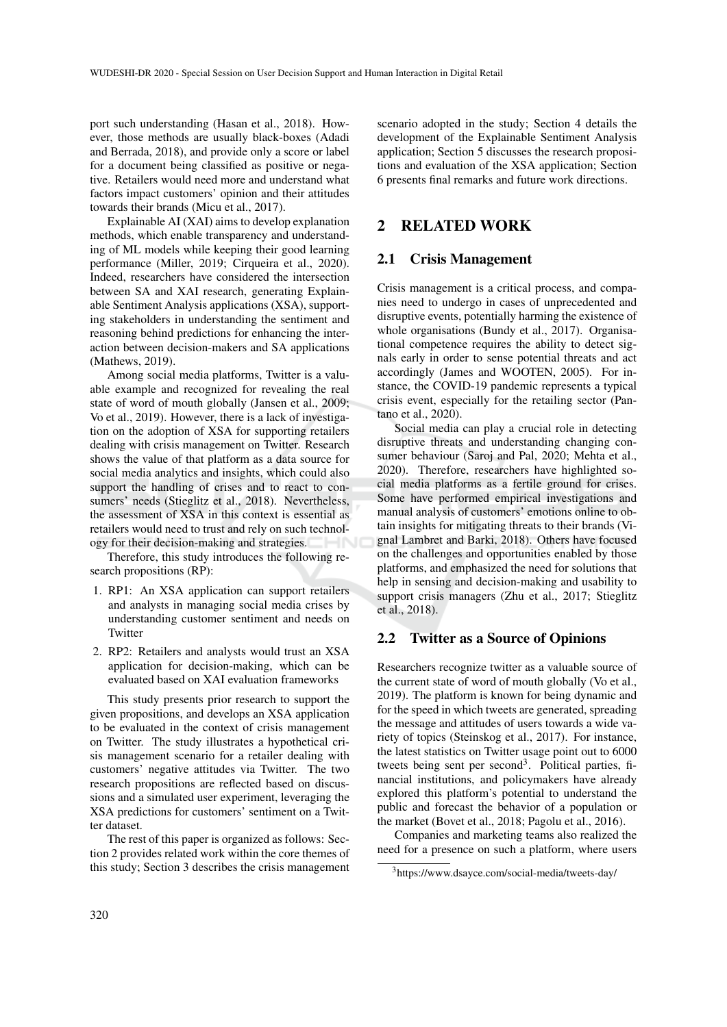port such understanding (Hasan et al., 2018). However, those methods are usually black-boxes (Adadi and Berrada, 2018), and provide only a score or label for a document being classified as positive or negative. Retailers would need more and understand what factors impact customers' opinion and their attitudes towards their brands (Micu et al., 2017).

Explainable AI (XAI) aims to develop explanation methods, which enable transparency and understanding of ML models while keeping their good learning performance (Miller, 2019; Cirqueira et al., 2020). Indeed, researchers have considered the intersection between SA and XAI research, generating Explainable Sentiment Analysis applications (XSA), supporting stakeholders in understanding the sentiment and reasoning behind predictions for enhancing the interaction between decision-makers and SA applications (Mathews, 2019).

Among social media platforms, Twitter is a valuable example and recognized for revealing the real state of word of mouth globally (Jansen et al., 2009; Vo et al., 2019). However, there is a lack of investigation on the adoption of XSA for supporting retailers dealing with crisis management on Twitter. Research shows the value of that platform as a data source for social media analytics and insights, which could also support the handling of crises and to react to consumers' needs (Stieglitz et al., 2018). Nevertheless, the assessment of XSA in this context is essential as retailers would need to trust and rely on such technology for their decision-making and strategies.

Therefore, this study introduces the following research propositions (RP):

- 1. RP1: An XSA application can support retailers and analysts in managing social media crises by understanding customer sentiment and needs on **Twitter**
- 2. RP2: Retailers and analysts would trust an XSA application for decision-making, which can be evaluated based on XAI evaluation frameworks

This study presents prior research to support the given propositions, and develops an XSA application to be evaluated in the context of crisis management on Twitter. The study illustrates a hypothetical crisis management scenario for a retailer dealing with customers' negative attitudes via Twitter. The two research propositions are reflected based on discussions and a simulated user experiment, leveraging the XSA predictions for customers' sentiment on a Twitter dataset.

The rest of this paper is organized as follows: Section 2 provides related work within the core themes of this study; Section 3 describes the crisis management

scenario adopted in the study; Section 4 details the development of the Explainable Sentiment Analysis application; Section 5 discusses the research propositions and evaluation of the XSA application; Section 6 presents final remarks and future work directions.

## 2 RELATED WORK

### 2.1 Crisis Management

Crisis management is a critical process, and companies need to undergo in cases of unprecedented and disruptive events, potentially harming the existence of whole organisations (Bundy et al., 2017). Organisational competence requires the ability to detect signals early in order to sense potential threats and act accordingly (James and WOOTEN, 2005). For instance, the COVID-19 pandemic represents a typical crisis event, especially for the retailing sector (Pantano et al., 2020).

Social media can play a crucial role in detecting disruptive threats and understanding changing consumer behaviour (Saroj and Pal, 2020; Mehta et al., 2020). Therefore, researchers have highlighted social media platforms as a fertile ground for crises. Some have performed empirical investigations and manual analysis of customers' emotions online to obtain insights for mitigating threats to their brands (Vignal Lambret and Barki, 2018). Others have focused on the challenges and opportunities enabled by those platforms, and emphasized the need for solutions that help in sensing and decision-making and usability to support crisis managers (Zhu et al., 2017; Stieglitz et al., 2018).

### 2.2 Twitter as a Source of Opinions

Researchers recognize twitter as a valuable source of the current state of word of mouth globally (Vo et al., 2019). The platform is known for being dynamic and for the speed in which tweets are generated, spreading the message and attitudes of users towards a wide variety of topics (Steinskog et al., 2017). For instance, the latest statistics on Twitter usage point out to 6000 tweets being sent per second<sup>3</sup>. Political parties, financial institutions, and policymakers have already explored this platform's potential to understand the public and forecast the behavior of a population or the market (Bovet et al., 2018; Pagolu et al., 2016).

Companies and marketing teams also realized the need for a presence on such a platform, where users

<sup>3</sup>https://www.dsayce.com/social-media/tweets-day/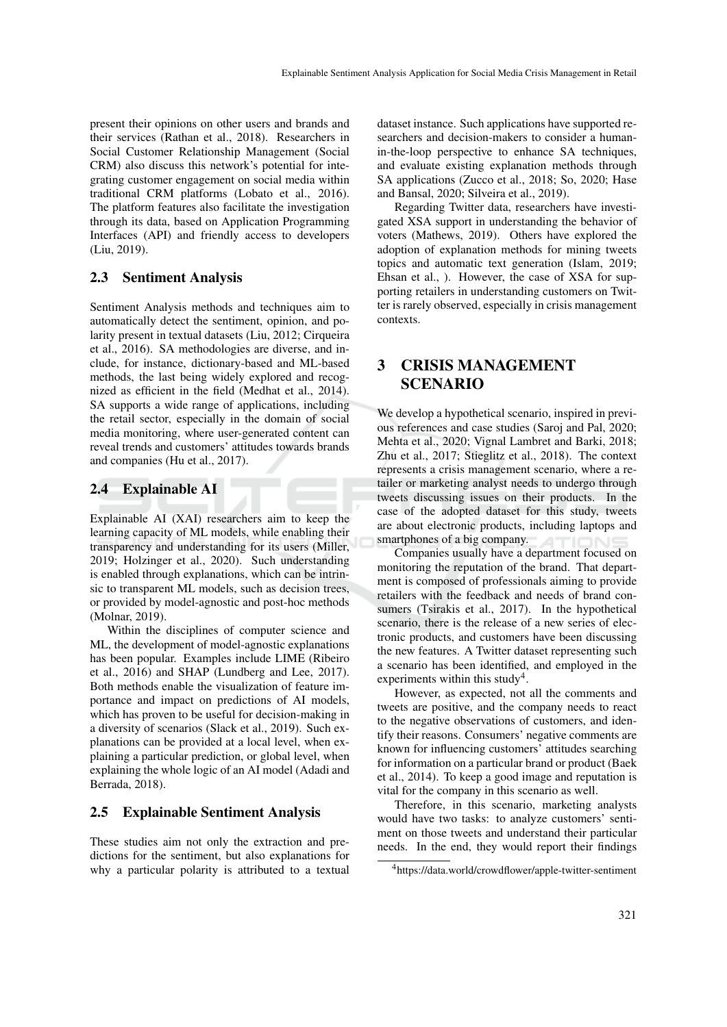present their opinions on other users and brands and their services (Rathan et al., 2018). Researchers in Social Customer Relationship Management (Social CRM) also discuss this network's potential for integrating customer engagement on social media within traditional CRM platforms (Lobato et al., 2016). The platform features also facilitate the investigation through its data, based on Application Programming Interfaces (API) and friendly access to developers (Liu, 2019).

### 2.3 Sentiment Analysis

Sentiment Analysis methods and techniques aim to automatically detect the sentiment, opinion, and polarity present in textual datasets (Liu, 2012; Cirqueira et al., 2016). SA methodologies are diverse, and include, for instance, dictionary-based and ML-based methods, the last being widely explored and recognized as efficient in the field (Medhat et al., 2014). SA supports a wide range of applications, including the retail sector, especially in the domain of social media monitoring, where user-generated content can reveal trends and customers' attitudes towards brands and companies (Hu et al., 2017).

### 2.4 Explainable AI

Explainable AI (XAI) researchers aim to keep the learning capacity of ML models, while enabling their transparency and understanding for its users (Miller, 2019; Holzinger et al., 2020). Such understanding is enabled through explanations, which can be intrinsic to transparent ML models, such as decision trees, or provided by model-agnostic and post-hoc methods (Molnar, 2019).

Within the disciplines of computer science and ML, the development of model-agnostic explanations has been popular. Examples include LIME (Ribeiro et al., 2016) and SHAP (Lundberg and Lee, 2017). Both methods enable the visualization of feature importance and impact on predictions of AI models, which has proven to be useful for decision-making in a diversity of scenarios (Slack et al., 2019). Such explanations can be provided at a local level, when explaining a particular prediction, or global level, when explaining the whole logic of an AI model (Adadi and Berrada, 2018).

### 2.5 Explainable Sentiment Analysis

These studies aim not only the extraction and predictions for the sentiment, but also explanations for why a particular polarity is attributed to a textual dataset instance. Such applications have supported researchers and decision-makers to consider a humanin-the-loop perspective to enhance SA techniques, and evaluate existing explanation methods through SA applications (Zucco et al., 2018; So, 2020; Hase and Bansal, 2020; Silveira et al., 2019).

Regarding Twitter data, researchers have investigated XSA support in understanding the behavior of voters (Mathews, 2019). Others have explored the adoption of explanation methods for mining tweets topics and automatic text generation (Islam, 2019; Ehsan et al., ). However, the case of XSA for supporting retailers in understanding customers on Twitter is rarely observed, especially in crisis management contexts.

## 3 CRISIS MANAGEMENT **SCENARIO**

We develop a hypothetical scenario, inspired in previous references and case studies (Saroj and Pal, 2020; Mehta et al., 2020; Vignal Lambret and Barki, 2018; Zhu et al., 2017; Stieglitz et al., 2018). The context represents a crisis management scenario, where a retailer or marketing analyst needs to undergo through tweets discussing issues on their products. In the case of the adopted dataset for this study, tweets are about electronic products, including laptops and smartphones of a big company.

Companies usually have a department focused on monitoring the reputation of the brand. That department is composed of professionals aiming to provide retailers with the feedback and needs of brand consumers (Tsirakis et al., 2017). In the hypothetical scenario, there is the release of a new series of electronic products, and customers have been discussing the new features. A Twitter dataset representing such a scenario has been identified, and employed in the experiments within this study<sup>4</sup>.

However, as expected, not all the comments and tweets are positive, and the company needs to react to the negative observations of customers, and identify their reasons. Consumers' negative comments are known for influencing customers' attitudes searching for information on a particular brand or product (Baek et al., 2014). To keep a good image and reputation is vital for the company in this scenario as well.

Therefore, in this scenario, marketing analysts would have two tasks: to analyze customers' sentiment on those tweets and understand their particular needs. In the end, they would report their findings

<sup>4</sup>https://data.world/crowdflower/apple-twitter-sentiment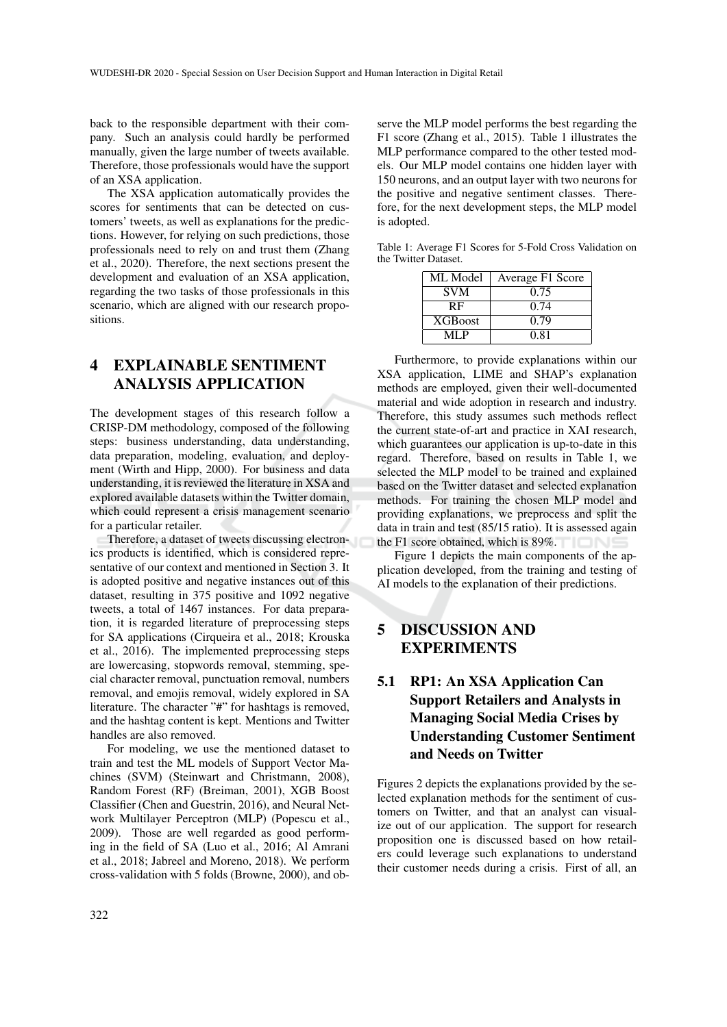back to the responsible department with their company. Such an analysis could hardly be performed manually, given the large number of tweets available. Therefore, those professionals would have the support of an XSA application.

The XSA application automatically provides the scores for sentiments that can be detected on customers' tweets, as well as explanations for the predictions. However, for relying on such predictions, those professionals need to rely on and trust them (Zhang et al., 2020). Therefore, the next sections present the development and evaluation of an XSA application, regarding the two tasks of those professionals in this scenario, which are aligned with our research propositions.

# 4 EXPLAINABLE SENTIMENT ANALYSIS APPLICATION

The development stages of this research follow a CRISP-DM methodology, composed of the following steps: business understanding, data understanding, data preparation, modeling, evaluation, and deployment (Wirth and Hipp, 2000). For business and data understanding, it is reviewed the literature in XSA and explored available datasets within the Twitter domain, which could represent a crisis management scenario for a particular retailer.

Therefore, a dataset of tweets discussing electronics products is identified, which is considered representative of our context and mentioned in Section 3. It is adopted positive and negative instances out of this dataset, resulting in 375 positive and 1092 negative tweets, a total of 1467 instances. For data preparation, it is regarded literature of preprocessing steps for SA applications (Cirqueira et al., 2018; Krouska et al., 2016). The implemented preprocessing steps are lowercasing, stopwords removal, stemming, special character removal, punctuation removal, numbers removal, and emojis removal, widely explored in SA literature. The character "#" for hashtags is removed, and the hashtag content is kept. Mentions and Twitter handles are also removed.

For modeling, we use the mentioned dataset to train and test the ML models of Support Vector Machines (SVM) (Steinwart and Christmann, 2008), Random Forest (RF) (Breiman, 2001), XGB Boost Classifier (Chen and Guestrin, 2016), and Neural Network Multilayer Perceptron (MLP) (Popescu et al., 2009). Those are well regarded as good performing in the field of SA (Luo et al., 2016; Al Amrani et al., 2018; Jabreel and Moreno, 2018). We perform cross-validation with 5 folds (Browne, 2000), and ob-

serve the MLP model performs the best regarding the F1 score (Zhang et al., 2015). Table 1 illustrates the MLP performance compared to the other tested models. Our MLP model contains one hidden layer with 150 neurons, and an output layer with two neurons for the positive and negative sentiment classes. Therefore, for the next development steps, the MLP model is adopted.

Table 1: Average F1 Scores for 5-Fold Cross Validation on the Twitter Dataset.

| ML Model       | Average F1 Score |  |  |
|----------------|------------------|--|--|
| <b>SVM</b>     | 0.75             |  |  |
| <b>RF</b>      | 0.74             |  |  |
| <b>XGBoost</b> | 0.79             |  |  |
| MI P           | 0.81             |  |  |

Furthermore, to provide explanations within our XSA application, LIME and SHAP's explanation methods are employed, given their well-documented material and wide adoption in research and industry. Therefore, this study assumes such methods reflect the current state-of-art and practice in XAI research, which guarantees our application is up-to-date in this regard. Therefore, based on results in Table 1, we selected the MLP model to be trained and explained based on the Twitter dataset and selected explanation methods. For training the chosen MLP model and providing explanations, we preprocess and split the data in train and test (85/15 ratio). It is assessed again the F1 score obtained, which is 89%.

Figure 1 depicts the main components of the application developed, from the training and testing of AI models to the explanation of their predictions.

## 5 DISCUSSION AND EXPERIMENTS

# 5.1 RP1: An XSA Application Can Support Retailers and Analysts in Managing Social Media Crises by Understanding Customer Sentiment and Needs on Twitter

Figures 2 depicts the explanations provided by the selected explanation methods for the sentiment of customers on Twitter, and that an analyst can visualize out of our application. The support for research proposition one is discussed based on how retailers could leverage such explanations to understand their customer needs during a crisis. First of all, an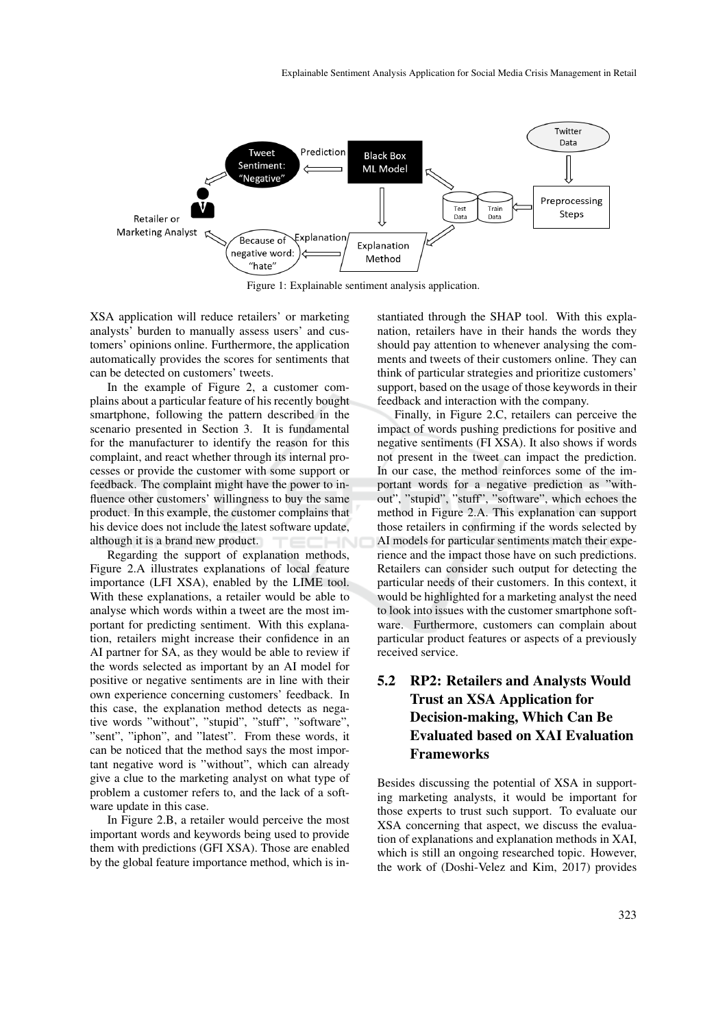

Figure 1: Explainable sentiment analysis application.

XSA application will reduce retailers' or marketing analysts' burden to manually assess users' and customers' opinions online. Furthermore, the application automatically provides the scores for sentiments that can be detected on customers' tweets.

In the example of Figure 2, a customer complains about a particular feature of his recently bought smartphone, following the pattern described in the scenario presented in Section 3. It is fundamental for the manufacturer to identify the reason for this complaint, and react whether through its internal processes or provide the customer with some support or feedback. The complaint might have the power to influence other customers' willingness to buy the same product. In this example, the customer complains that his device does not include the latest software update, although it is a brand new product.

Regarding the support of explanation methods, Figure 2.A illustrates explanations of local feature importance (LFI XSA), enabled by the LIME tool. With these explanations, a retailer would be able to analyse which words within a tweet are the most important for predicting sentiment. With this explanation, retailers might increase their confidence in an AI partner for SA, as they would be able to review if the words selected as important by an AI model for positive or negative sentiments are in line with their own experience concerning customers' feedback. In this case, the explanation method detects as negative words "without", "stupid", "stuff", "software", "sent", "iphon", and "latest". From these words, it can be noticed that the method says the most important negative word is "without", which can already give a clue to the marketing analyst on what type of problem a customer refers to, and the lack of a software update in this case.

In Figure 2.B, a retailer would perceive the most important words and keywords being used to provide them with predictions (GFI XSA). Those are enabled by the global feature importance method, which is instantiated through the SHAP tool. With this explanation, retailers have in their hands the words they should pay attention to whenever analysing the comments and tweets of their customers online. They can think of particular strategies and prioritize customers' support, based on the usage of those keywords in their feedback and interaction with the company.

Finally, in Figure 2.C, retailers can perceive the impact of words pushing predictions for positive and negative sentiments (FI XSA). It also shows if words not present in the tweet can impact the prediction. In our case, the method reinforces some of the important words for a negative prediction as "without", "stupid", "stuff", "software", which echoes the method in Figure 2.A. This explanation can support those retailers in confirming if the words selected by AI models for particular sentiments match their experience and the impact those have on such predictions. Retailers can consider such output for detecting the particular needs of their customers. In this context, it would be highlighted for a marketing analyst the need to look into issues with the customer smartphone software. Furthermore, customers can complain about particular product features or aspects of a previously received service.

# 5.2 RP2: Retailers and Analysts Would Trust an XSA Application for Decision-making, Which Can Be Evaluated based on XAI Evaluation Frameworks

Besides discussing the potential of XSA in supporting marketing analysts, it would be important for those experts to trust such support. To evaluate our XSA concerning that aspect, we discuss the evaluation of explanations and explanation methods in XAI, which is still an ongoing researched topic. However, the work of (Doshi-Velez and Kim, 2017) provides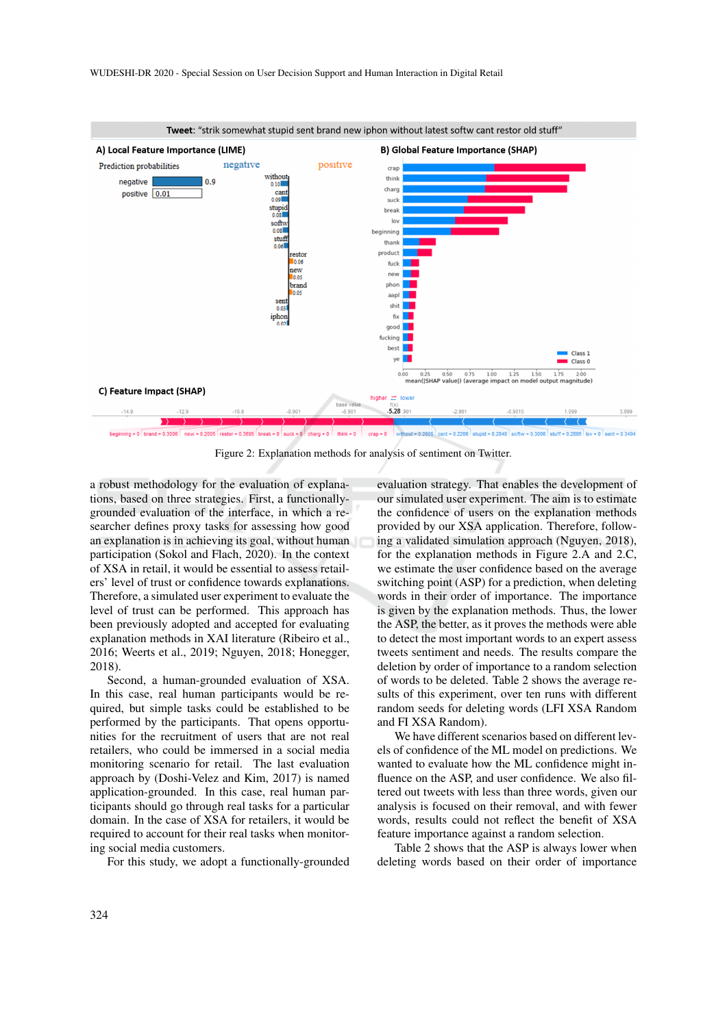

Figure 2: Explanation methods for analysis of sentiment on Twitter.

a robust methodology for the evaluation of explanations, based on three strategies. First, a functionallygrounded evaluation of the interface, in which a researcher defines proxy tasks for assessing how good an explanation is in achieving its goal, without human participation (Sokol and Flach, 2020). In the context of XSA in retail, it would be essential to assess retailers' level of trust or confidence towards explanations. Therefore, a simulated user experiment to evaluate the level of trust can be performed. This approach has been previously adopted and accepted for evaluating explanation methods in XAI literature (Ribeiro et al., 2016; Weerts et al., 2019; Nguyen, 2018; Honegger, 2018).

Second, a human-grounded evaluation of XSA. In this case, real human participants would be required, but simple tasks could be established to be performed by the participants. That opens opportunities for the recruitment of users that are not real retailers, who could be immersed in a social media monitoring scenario for retail. The last evaluation approach by (Doshi-Velez and Kim, 2017) is named application-grounded. In this case, real human participants should go through real tasks for a particular domain. In the case of XSA for retailers, it would be required to account for their real tasks when monitoring social media customers.

For this study, we adopt a functionally-grounded

evaluation strategy. That enables the development of our simulated user experiment. The aim is to estimate the confidence of users on the explanation methods provided by our XSA application. Therefore, following a validated simulation approach (Nguyen, 2018), for the explanation methods in Figure 2.A and 2.C, we estimate the user confidence based on the average switching point (ASP) for a prediction, when deleting words in their order of importance. The importance is given by the explanation methods. Thus, the lower the ASP, the better, as it proves the methods were able to detect the most important words to an expert assess tweets sentiment and needs. The results compare the deletion by order of importance to a random selection of words to be deleted. Table 2 shows the average results of this experiment, over ten runs with different random seeds for deleting words (LFI XSA Random and FI XSA Random).

We have different scenarios based on different levels of confidence of the ML model on predictions. We wanted to evaluate how the ML confidence might influence on the ASP, and user confidence. We also filtered out tweets with less than three words, given our analysis is focused on their removal, and with fewer words, results could not reflect the benefit of XSA feature importance against a random selection.

Table 2 shows that the ASP is always lower when deleting words based on their order of importance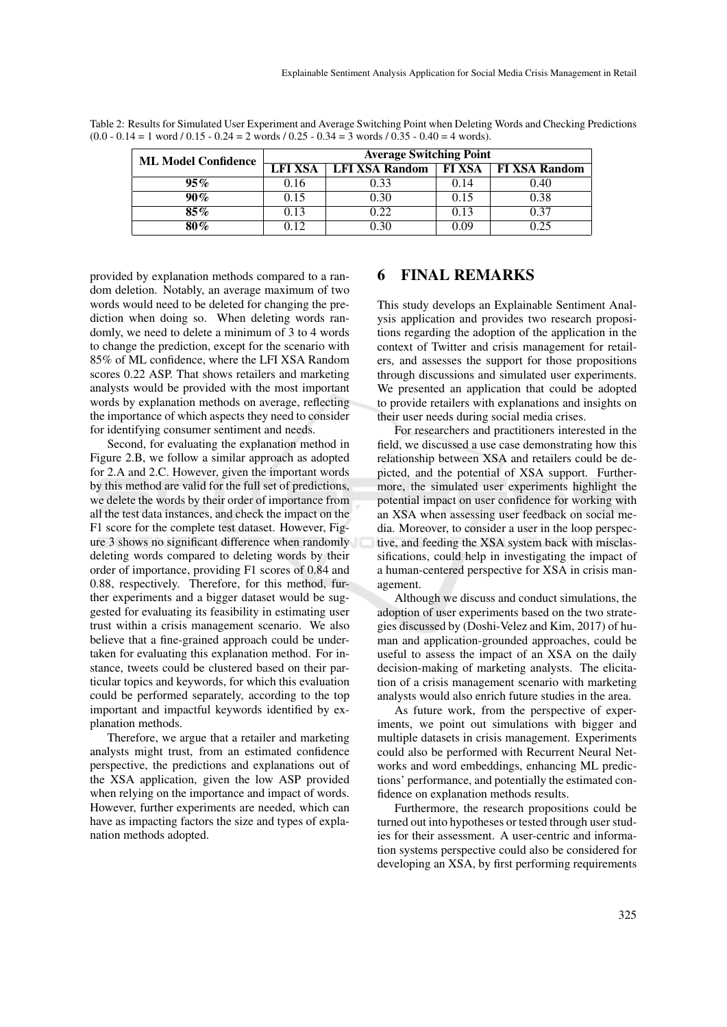| <b>ML Model Confidence</b> | <b>Average Switching Point</b> |                       |               |                      |
|----------------------------|--------------------------------|-----------------------|---------------|----------------------|
|                            | LFI XSA                        | <b>LFI XSA Random</b> | <b>FI XSA</b> | <b>FI XSA Random</b> |
| $95\%$                     | 0.16                           | 0.33                  | 0.14          | 0.40                 |
| $90\%$                     | 0.15                           | 0.30                  | 0.15          | 0.38                 |
| $85\%$                     | 0.13                           | 0.22                  | 0.13          | 0.37                 |
| 80%                        | ነ 12                           |                       | 0.09          | 0.25                 |

Table 2: Results for Simulated User Experiment and Average Switching Point when Deleting Words and Checking Predictions  $(0.0 - 0.14 = 1 \text{ word } / 0.15 - 0.24 = 2 \text{ words } / 0.25 - 0.34 = 3 \text{ words } / 0.35 - 0.40 = 4 \text{ words}.$ 

provided by explanation methods compared to a random deletion. Notably, an average maximum of two words would need to be deleted for changing the prediction when doing so. When deleting words randomly, we need to delete a minimum of 3 to 4 words to change the prediction, except for the scenario with 85% of ML confidence, where the LFI XSA Random scores 0.22 ASP. That shows retailers and marketing analysts would be provided with the most important words by explanation methods on average, reflecting the importance of which aspects they need to consider for identifying consumer sentiment and needs.

Second, for evaluating the explanation method in Figure 2.B, we follow a similar approach as adopted for 2.A and 2.C. However, given the important words by this method are valid for the full set of predictions, we delete the words by their order of importance from all the test data instances, and check the impact on the F1 score for the complete test dataset. However, Figure 3 shows no significant difference when randomly deleting words compared to deleting words by their order of importance, providing F1 scores of 0.84 and 0.88, respectively. Therefore, for this method, further experiments and a bigger dataset would be suggested for evaluating its feasibility in estimating user trust within a crisis management scenario. We also believe that a fine-grained approach could be undertaken for evaluating this explanation method. For instance, tweets could be clustered based on their particular topics and keywords, for which this evaluation could be performed separately, according to the top important and impactful keywords identified by explanation methods.

Therefore, we argue that a retailer and marketing analysts might trust, from an estimated confidence perspective, the predictions and explanations out of the XSA application, given the low ASP provided when relying on the importance and impact of words. However, further experiments are needed, which can have as impacting factors the size and types of explanation methods adopted.

## 6 FINAL REMARKS

This study develops an Explainable Sentiment Analysis application and provides two research propositions regarding the adoption of the application in the context of Twitter and crisis management for retailers, and assesses the support for those propositions through discussions and simulated user experiments. We presented an application that could be adopted to provide retailers with explanations and insights on their user needs during social media crises.

For researchers and practitioners interested in the field, we discussed a use case demonstrating how this relationship between XSA and retailers could be depicted, and the potential of XSA support. Furthermore, the simulated user experiments highlight the potential impact on user confidence for working with an XSA when assessing user feedback on social media. Moreover, to consider a user in the loop perspective, and feeding the XSA system back with misclassifications, could help in investigating the impact of a human-centered perspective for XSA in crisis management.

Although we discuss and conduct simulations, the adoption of user experiments based on the two strategies discussed by (Doshi-Velez and Kim, 2017) of human and application-grounded approaches, could be useful to assess the impact of an XSA on the daily decision-making of marketing analysts. The elicitation of a crisis management scenario with marketing analysts would also enrich future studies in the area.

As future work, from the perspective of experiments, we point out simulations with bigger and multiple datasets in crisis management. Experiments could also be performed with Recurrent Neural Networks and word embeddings, enhancing ML predictions' performance, and potentially the estimated confidence on explanation methods results.

Furthermore, the research propositions could be turned out into hypotheses or tested through user studies for their assessment. A user-centric and information systems perspective could also be considered for developing an XSA, by first performing requirements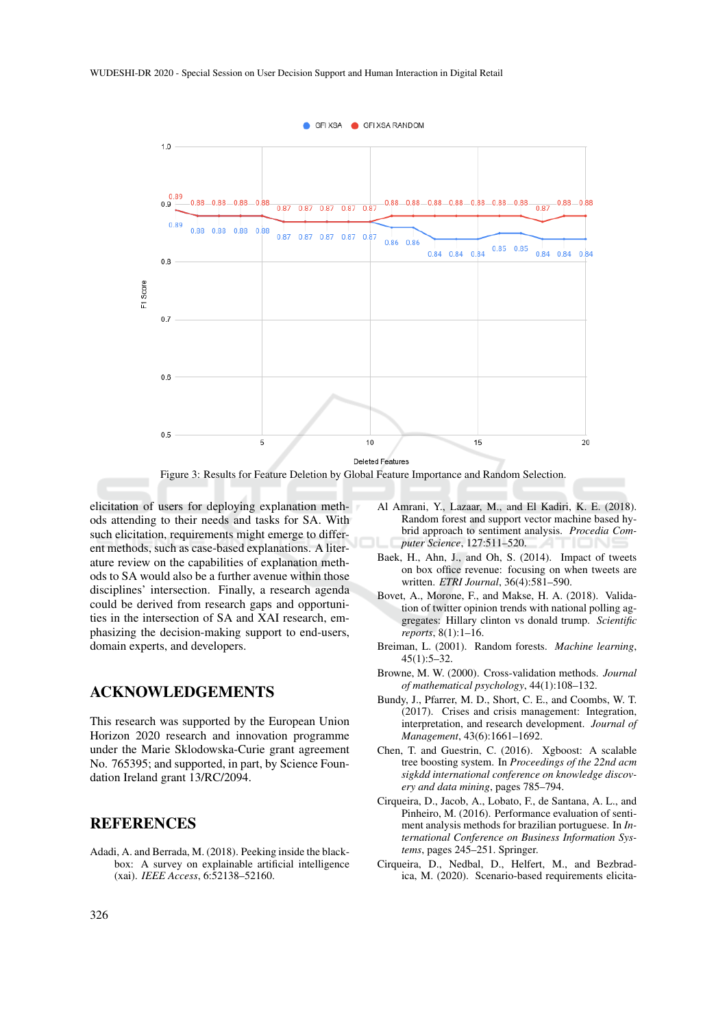

Figure 3: Results for Feature Deletion by Global Feature Importance and Random Selection.

elicitation of users for deploying explanation methods attending to their needs and tasks for SA. With such elicitation, requirements might emerge to different methods, such as case-based explanations. A literature review on the capabilities of explanation methods to SA would also be a further avenue within those disciplines' intersection. Finally, a research agenda could be derived from research gaps and opportunities in the intersection of SA and XAI research, emphasizing the decision-making support to end-users, domain experts, and developers.

### ACKNOWLEDGEMENTS

This research was supported by the European Union Horizon 2020 research and innovation programme under the Marie Sklodowska-Curie grant agreement No. 765395; and supported, in part, by Science Foundation Ireland grant 13/RC/2094.

### **REFERENCES**

Adadi, A. and Berrada, M. (2018). Peeking inside the blackbox: A survey on explainable artificial intelligence (xai). *IEEE Access*, 6:52138–52160.

- Al Amrani, Y., Lazaar, M., and El Kadiri, K. E. (2018). Random forest and support vector machine based hybrid approach to sentiment analysis. *Procedia Computer Science*, 127:511–520.
- Baek, H., Ahn, J., and Oh, S. (2014). Impact of tweets on box office revenue: focusing on when tweets are written. *ETRI Journal*, 36(4):581–590.
- Bovet, A., Morone, F., and Makse, H. A. (2018). Validation of twitter opinion trends with national polling aggregates: Hillary clinton vs donald trump. *Scientific reports*, 8(1):1–16.
- Breiman, L. (2001). Random forests. *Machine learning*, 45(1):5–32.
- Browne, M. W. (2000). Cross-validation methods. *Journal of mathematical psychology*, 44(1):108–132.
- Bundy, J., Pfarrer, M. D., Short, C. E., and Coombs, W. T. (2017). Crises and crisis management: Integration, interpretation, and research development. *Journal of Management*, 43(6):1661–1692.
- Chen, T. and Guestrin, C. (2016). Xgboost: A scalable tree boosting system. In *Proceedings of the 22nd acm sigkdd international conference on knowledge discovery and data mining*, pages 785–794.
- Cirqueira, D., Jacob, A., Lobato, F., de Santana, A. L., and Pinheiro, M. (2016). Performance evaluation of sentiment analysis methods for brazilian portuguese. In *International Conference on Business Information Systems*, pages 245–251. Springer.
- Cirqueira, D., Nedbal, D., Helfert, M., and Bezbradica, M. (2020). Scenario-based requirements elicita-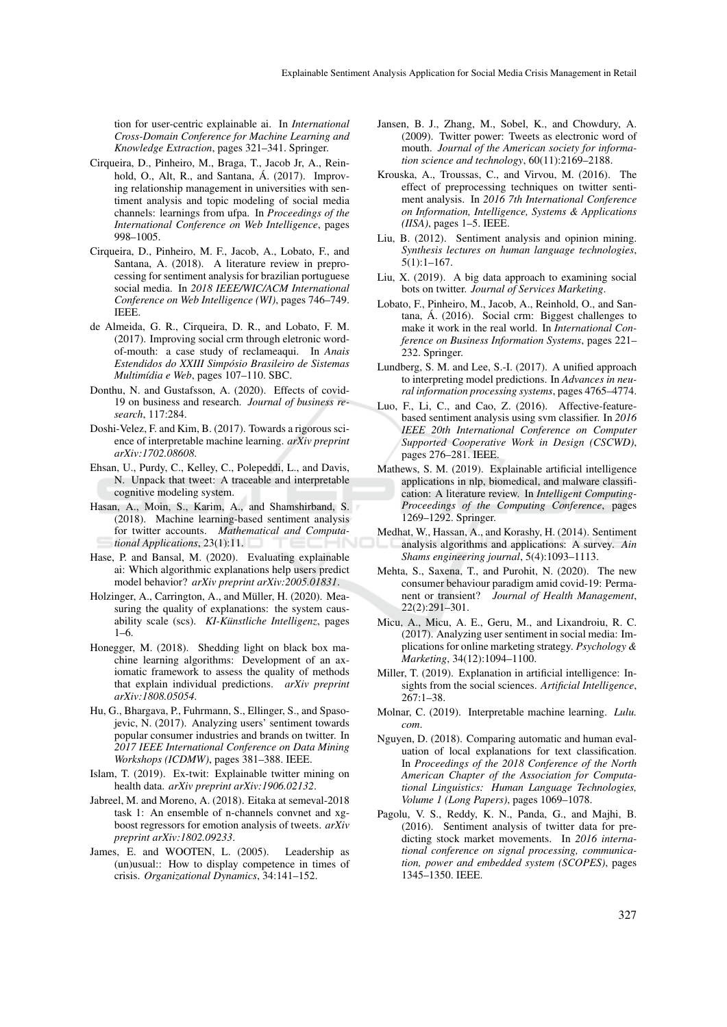tion for user-centric explainable ai. In *International Cross-Domain Conference for Machine Learning and Knowledge Extraction*, pages 321–341. Springer.

- Cirqueira, D., Pinheiro, M., Braga, T., Jacob Jr, A., Reinhold, O., Alt, R., and Santana, Á. (2017). Improving relationship management in universities with sentiment analysis and topic modeling of social media channels: learnings from ufpa. In *Proceedings of the International Conference on Web Intelligence*, pages 998–1005.
- Cirqueira, D., Pinheiro, M. F., Jacob, A., Lobato, F., and Santana, A. (2018). A literature review in preprocessing for sentiment analysis for brazilian portuguese social media. In *2018 IEEE/WIC/ACM International Conference on Web Intelligence (WI)*, pages 746–749. IEEE.
- de Almeida, G. R., Cirqueira, D. R., and Lobato, F. M. (2017). Improving social crm through eletronic wordof-mouth: a case study of reclameaqui. In *Anais Estendidos do XXIII Simposio Brasileiro de Sistemas ´ Multim´ıdia e Web*, pages 107–110. SBC.
- Donthu, N. and Gustafsson, A. (2020). Effects of covid-19 on business and research. *Journal of business research*, 117:284.
- Doshi-Velez, F. and Kim, B. (2017). Towards a rigorous science of interpretable machine learning. *arXiv preprint arXiv:1702.08608*.
- Ehsan, U., Purdy, C., Kelley, C., Polepeddi, L., and Davis, N. Unpack that tweet: A traceable and interpretable cognitive modeling system.
- Hasan, A., Moin, S., Karim, A., and Shamshirband, S. (2018). Machine learning-based sentiment analysis for twitter accounts. *Mathematical and Computational Applications*, 23(1):11.
- Hase, P. and Bansal, M. (2020). Evaluating explainable ai: Which algorithmic explanations help users predict model behavior? *arXiv preprint arXiv:2005.01831*.
- Holzinger, A., Carrington, A., and Müller, H. (2020). Measuring the quality of explanations: the system causability scale (scs). *KI-Künstliche Intelligenz*, pages 1–6.
- Honegger, M. (2018). Shedding light on black box machine learning algorithms: Development of an axiomatic framework to assess the quality of methods that explain individual predictions. *arXiv preprint arXiv:1808.05054*.
- Hu, G., Bhargava, P., Fuhrmann, S., Ellinger, S., and Spasojevic, N. (2017). Analyzing users' sentiment towards popular consumer industries and brands on twitter. In *2017 IEEE International Conference on Data Mining Workshops (ICDMW)*, pages 381–388. IEEE.
- Islam, T. (2019). Ex-twit: Explainable twitter mining on health data. *arXiv preprint arXiv:1906.02132*.
- Jabreel, M. and Moreno, A. (2018). Eitaka at semeval-2018 task 1: An ensemble of n-channels convnet and xgboost regressors for emotion analysis of tweets. *arXiv preprint arXiv:1802.09233*.
- James, E. and WOOTEN, L. (2005). Leadership as (un)usual:: How to display competence in times of crisis. *Organizational Dynamics*, 34:141–152.
- Jansen, B. J., Zhang, M., Sobel, K., and Chowdury, A. (2009). Twitter power: Tweets as electronic word of mouth. *Journal of the American society for information science and technology*, 60(11):2169–2188.
- Krouska, A., Troussas, C., and Virvou, M. (2016). The effect of preprocessing techniques on twitter sentiment analysis. In *2016 7th International Conference on Information, Intelligence, Systems & Applications (IISA)*, pages 1–5. IEEE.
- Liu, B. (2012). Sentiment analysis and opinion mining. *Synthesis lectures on human language technologies*, 5(1):1–167.
- Liu, X. (2019). A big data approach to examining social bots on twitter. *Journal of Services Marketing*.
- Lobato, F., Pinheiro, M., Jacob, A., Reinhold, O., and Santana, A. (2016). Social crm: Biggest challenges to ´ make it work in the real world. In *International Conference on Business Information Systems*, pages 221– 232. Springer.
- Lundberg, S. M. and Lee, S.-I. (2017). A unified approach to interpreting model predictions. In *Advances in neural information processing systems*, pages 4765–4774.
- Luo, F., Li, C., and Cao, Z. (2016). Affective-featurebased sentiment analysis using svm classifier. In *2016 IEEE 20th International Conference on Computer Supported Cooperative Work in Design (CSCWD)*, pages 276–281. IEEE.
- Mathews, S. M. (2019). Explainable artificial intelligence applications in nlp, biomedical, and malware classification: A literature review. In *Intelligent Computing-Proceedings of the Computing Conference*, pages 1269–1292. Springer.
- Medhat, W., Hassan, A., and Korashy, H. (2014). Sentiment analysis algorithms and applications: A survey. *Ain Shams engineering journal*, 5(4):1093–1113.
- Mehta, S., Saxena, T., and Purohit, N. (2020). The new consumer behaviour paradigm amid covid-19: Permanent or transient? *Journal of Health Management*, 22(2):291–301.
- Micu, A., Micu, A. E., Geru, M., and Lixandroiu, R. C. (2017). Analyzing user sentiment in social media: Implications for online marketing strategy. *Psychology & Marketing*, 34(12):1094–1100.
- Miller, T. (2019). Explanation in artificial intelligence: Insights from the social sciences. *Artificial Intelligence*, 267:1–38.
- Molnar, C. (2019). Interpretable machine learning. *Lulu. com*.
- Nguyen, D. (2018). Comparing automatic and human evaluation of local explanations for text classification. In *Proceedings of the 2018 Conference of the North American Chapter of the Association for Computational Linguistics: Human Language Technologies, Volume 1 (Long Papers)*, pages 1069–1078.
- Pagolu, V. S., Reddy, K. N., Panda, G., and Majhi, B. (2016). Sentiment analysis of twitter data for predicting stock market movements. In *2016 international conference on signal processing, communication, power and embedded system (SCOPES)*, pages 1345–1350. IEEE.